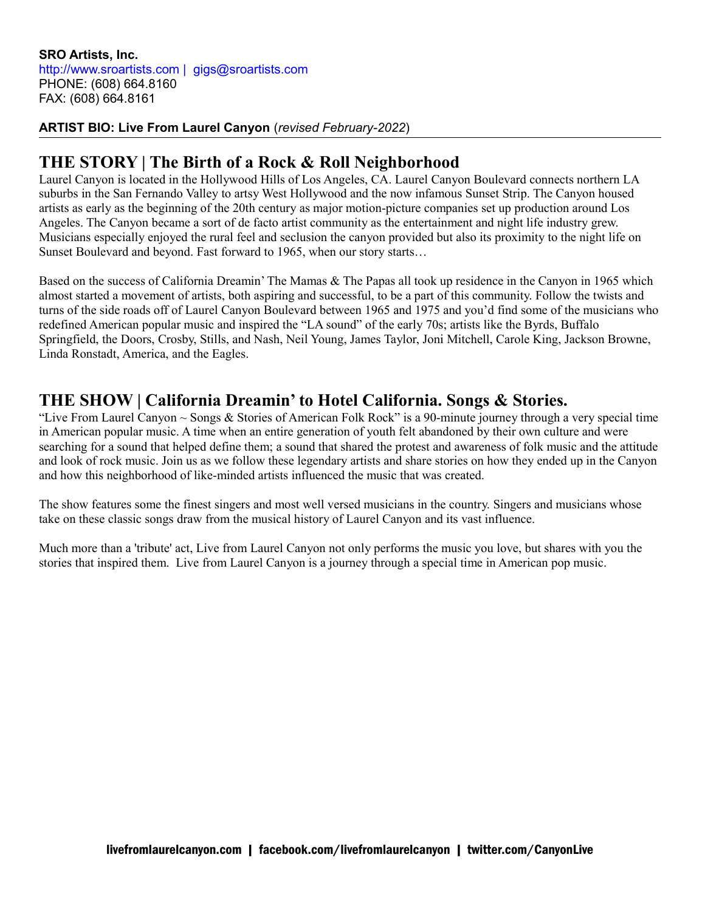## **ARTIST BIO: Live From Laurel Canyon** (*revised February-2022*)

## **THE STORY | The Birth of a Rock & Roll Neighborhood**

Laurel Canyon is located in the Hollywood Hills of Los Angeles, CA. Laurel Canyon Boulevard connects northern LA suburbs in the San Fernando Valley to artsy West Hollywood and the now infamous Sunset Strip. The Canyon housed artists as early as the beginning of the 20th century as major motion-picture companies set up production around Los Angeles. The Canyon became a sort of de facto artist community as the entertainment and night life industry grew. Musicians especially enjoyed the rural feel and seclusion the canyon provided but also its proximity to the night life on Sunset Boulevard and beyond. Fast forward to 1965, when our story starts…

Based on the success of California Dreamin' The Mamas & The Papas all took up residence in the Canyon in 1965 which almost started a movement of artists, both aspiring and successful, to be a part of this community. Follow the twists and turns of the side roads off of Laurel Canyon Boulevard between 1965 and 1975 and you'd find some of the musicians who redefined American popular music and inspired the "LA sound" of the early 70s; artists like the Byrds, Buffalo Springfield, the Doors, Crosby, Stills, and Nash, Neil Young, James Taylor, Joni Mitchell, Carole King, Jackson Browne, Linda Ronstadt, America, and the Eagles.

## **THE SHOW | California Dreamin' to Hotel California. Songs & Stories.**

"Live From Laurel Canyon  $\sim$  Songs & Stories of American Folk Rock" is a 90-minute journey through a very special time in American popular music. A time when an entire generation of youth felt abandoned by their own culture and were searching for a sound that helped define them; a sound that shared the protest and awareness of folk music and the attitude and look of rock music. Join us as we follow these legendary artists and share stories on how they ended up in the Canyon and how this neighborhood of like-minded artists influenced the music that was created.

The show features some the finest singers and most well versed musicians in the country. Singers and musicians whose take on these classic songs draw from the musical history of Laurel Canyon and its vast influence.

Much more than a 'tribute' act, Live from Laurel Canyon not only performs the music you love, but shares with you the stories that inspired them. Live from Laurel Canyon is a journey through a special time in American pop music.